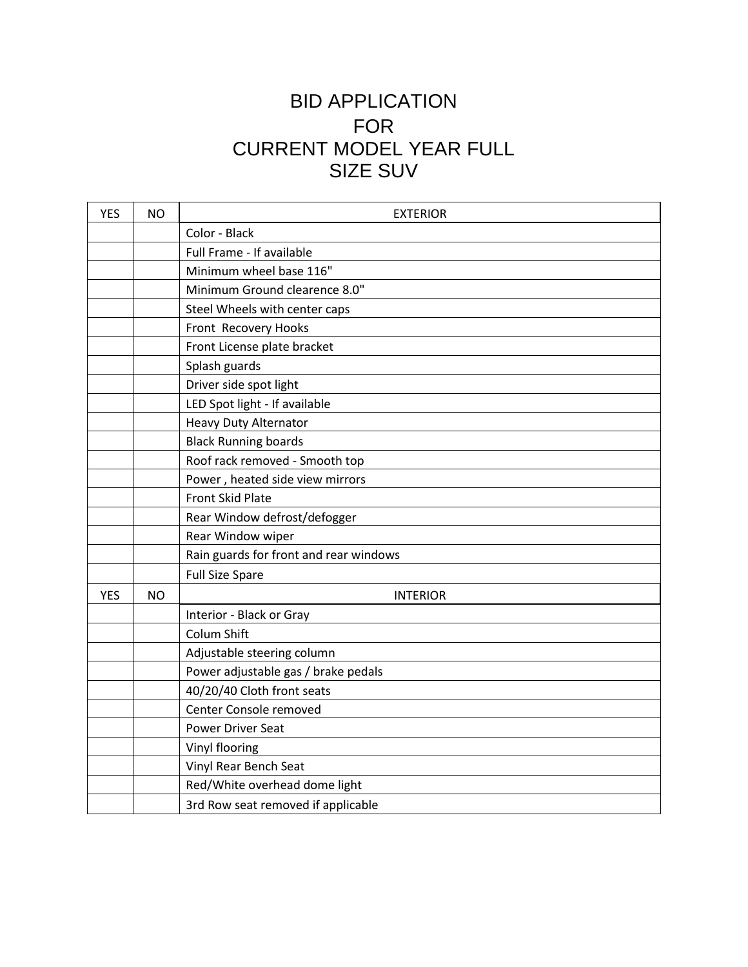## BID APPLICATION FOR CURRENT MODEL YEAR FULL SIZE SUV

| <b>YES</b> | <b>NO</b> | <b>EXTERIOR</b>                        |
|------------|-----------|----------------------------------------|
|            |           | Color - Black                          |
|            |           | Full Frame - If available              |
|            |           | Minimum wheel base 116"                |
|            |           | Minimum Ground clearence 8.0"          |
|            |           | Steel Wheels with center caps          |
|            |           | Front Recovery Hooks                   |
|            |           | Front License plate bracket            |
|            |           | Splash guards                          |
|            |           | Driver side spot light                 |
|            |           | LED Spot light - If available          |
|            |           | <b>Heavy Duty Alternator</b>           |
|            |           | <b>Black Running boards</b>            |
|            |           | Roof rack removed - Smooth top         |
|            |           | Power, heated side view mirrors        |
|            |           | <b>Front Skid Plate</b>                |
|            |           | Rear Window defrost/defogger           |
|            |           | Rear Window wiper                      |
|            |           | Rain guards for front and rear windows |
|            |           | <b>Full Size Spare</b>                 |
| <b>YES</b> | <b>NO</b> | <b>INTERIOR</b>                        |
|            |           | Interior - Black or Gray               |
|            |           | Colum Shift                            |
|            |           | Adjustable steering column             |
|            |           | Power adjustable gas / brake pedals    |
|            |           | 40/20/40 Cloth front seats             |
|            |           | Center Console removed                 |
|            |           | <b>Power Driver Seat</b>               |
|            |           | Vinyl flooring                         |
|            |           | Vinyl Rear Bench Seat                  |
|            |           | Red/White overhead dome light          |
|            |           | 3rd Row seat removed if applicable     |